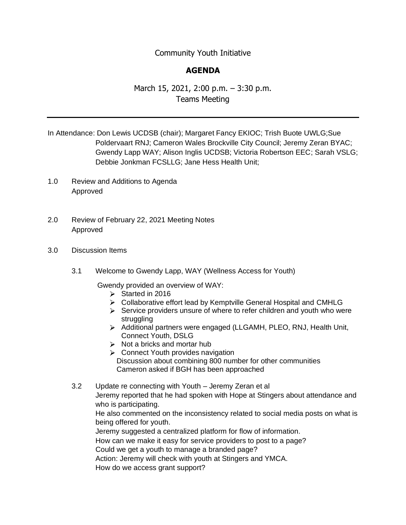## Community Youth Initiative

## **AGENDA**

## March 15, 2021, 2:00 p.m. – 3:30 p.m. Teams Meeting

- In Attendance: Don Lewis UCDSB (chair); Margaret Fancy EKIOC; Trish Buote UWLG;Sue Poldervaart RNJ; Cameron Wales Brockville City Council; Jeremy Zeran BYAC; Gwendy Lapp WAY; Alison Inglis UCDSB; Victoria Robertson EEC; Sarah VSLG; Debbie Jonkman FCSLLG; Jane Hess Health Unit;
- 1.0 Review and Additions to Agenda Approved
- 2.0 Review of February 22, 2021 Meeting Notes Approved
- 3.0 Discussion Items
	- 3.1 Welcome to Gwendy Lapp, WAY (Wellness Access for Youth)

Gwendy provided an overview of WAY:

- $\triangleright$  Started in 2016
- Collaborative effort lead by Kemptville General Hospital and CMHLG
- $\triangleright$  Service providers unsure of where to refer children and youth who were struggling
- Additional partners were engaged (LLGAMH, PLEO, RNJ, Health Unit, Connect Youth, DSLG
- $\triangleright$  Not a bricks and mortar hub
- **►** Connect Youth provides navigation Discussion about combining 800 number for other communities Cameron asked if BGH has been approached

3.2 Update re connecting with Youth – Jeremy Zeran et al Jeremy reported that he had spoken with Hope at Stingers about attendance and who is participating. He also commented on the inconsistency related to social media posts on what is being offered for youth. Jeremy suggested a centralized platform for flow of information. How can we make it easy for service providers to post to a page? Could we get a youth to manage a branded page? Action: Jeremy will check with youth at Stingers and YMCA. How do we access grant support?